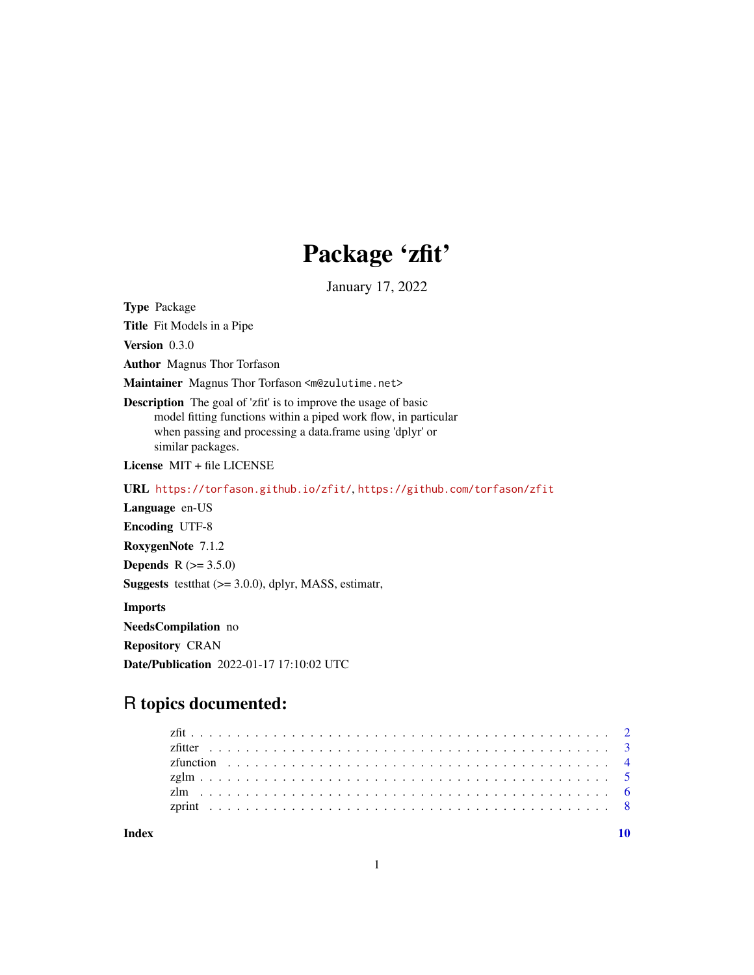## Package 'zfit'

January 17, 2022

<span id="page-0-0"></span>Type Package

Title Fit Models in a Pipe

Version 0.3.0

Author Magnus Thor Torfason

Maintainer Magnus Thor Torfason <m@zulutime.net>

Description The goal of 'zfit' is to improve the usage of basic model fitting functions within a piped work flow, in particular when passing and processing a data.frame using 'dplyr' or similar packages.

License MIT + file LICENSE

URL <https://torfason.github.io/zfit/>, <https://github.com/torfason/zfit>

Language en-US

Encoding UTF-8

RoxygenNote 7.1.2

**Depends**  $R (= 3.5.0)$ 

Suggests testthat (>= 3.0.0), dplyr, MASS, estimatr,

Imports

NeedsCompilation no

Repository CRAN

Date/Publication 2022-01-17 17:10:02 UTC

### R topics documented:

 $\blacksquare$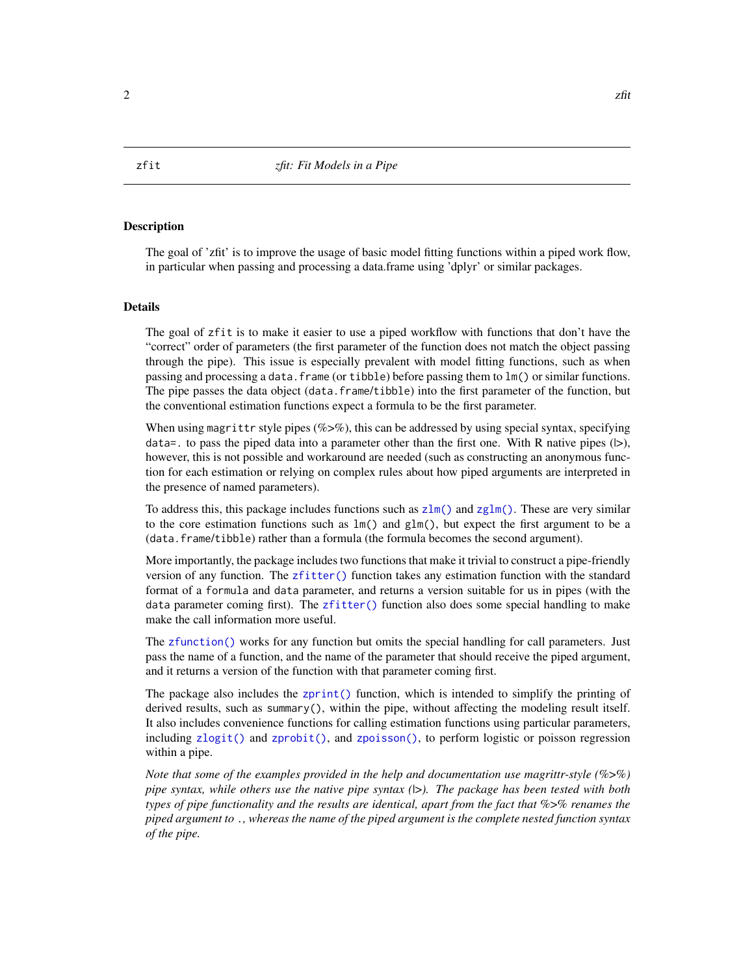#### <span id="page-1-0"></span>**Description**

The goal of 'zfit' is to improve the usage of basic model fitting functions within a piped work flow, in particular when passing and processing a data.frame using 'dplyr' or similar packages.

#### Details

The goal of zfit is to make it easier to use a piped workflow with functions that don't have the "correct" order of parameters (the first parameter of the function does not match the object passing through the pipe). This issue is especially prevalent with model fitting functions, such as when passing and processing a data.frame (or tibble) before passing them to lm() or similar functions. The pipe passes the data object (data.frame/tibble) into the first parameter of the function, but the conventional estimation functions expect a formula to be the first parameter.

When using magrittr style pipes ( $\%$ >%), this can be addressed by using special syntax, specifying data=. to pass the piped data into a parameter other than the first one. With R native pipes  $(|>)$ , however, this is not possible and workaround are needed (such as constructing an anonymous function for each estimation or relying on complex rules about how piped arguments are interpreted in the presence of named parameters).

To address this, this package includes functions such as  $z \ln(\cdot)$  and  $z \ln(\cdot)$ . These are very similar to the core estimation functions such as  $lm()$  and  $glm()$ , but expect the first argument to be a (data.frame/tibble) rather than a formula (the formula becomes the second argument).

More importantly, the package includes two functions that make it trivial to construct a pipe-friendly version of any function. The [zfitter\(\)](#page-2-1) function takes any estimation function with the standard format of a formula and data parameter, and returns a version suitable for us in pipes (with the data parameter coming first). The [zfitter\(\)](#page-2-1) function also does some special handling to make make the call information more useful.

The [zfunction\(\)](#page-3-1) works for any function but omits the special handling for call parameters. Just pass the name of a function, and the name of the parameter that should receive the piped argument, and it returns a version of the function with that parameter coming first.

The package also includes the [zprint\(\)](#page-7-1) function, which is intended to simplify the printing of derived results, such as summary(), within the pipe, without affecting the modeling result itself. It also includes convenience functions for calling estimation functions using particular parameters, including [zlogit\(\)](#page-4-2) and [zprobit\(\)](#page-4-2), and [zpoisson\(\)](#page-4-2), to perform logistic or poisson regression within a pipe.

*Note that some of the examples provided in the help and documentation use magrittr-style (*%>%*) pipe syntax, while others use the native pipe syntax (*|>*). The package has been tested with both types of pipe functionality and the results are identical, apart from the fact that* %>% *renames the piped argument to* .*, whereas the name of the piped argument is the complete nested function syntax of the pipe.*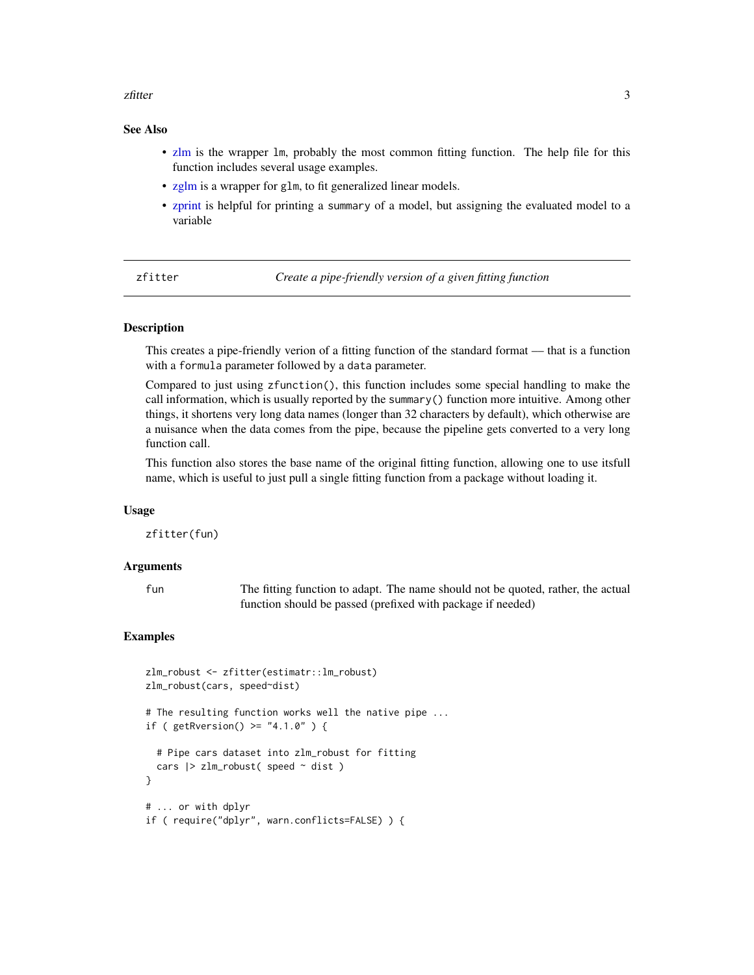#### <span id="page-2-0"></span>zfitter 3

#### See Also

- [zlm](#page-5-1) is the wrapper lm, probably the most common fitting function. The help file for this function includes several usage examples.
- [zglm](#page-4-1) is a wrapper for glm, to fit generalized linear models.
- [zprint](#page-7-1) is helpful for printing a summary of a model, but assigning the evaluated model to a variable

<span id="page-2-1"></span>zfitter *Create a pipe-friendly version of a given fitting function*

#### **Description**

This creates a pipe-friendly verion of a fitting function of the standard format –– that is a function with a formula parameter followed by a data parameter.

Compared to just using zfunction(), this function includes some special handling to make the call information, which is usually reported by the summary() function more intuitive. Among other things, it shortens very long data names (longer than 32 characters by default), which otherwise are a nuisance when the data comes from the pipe, because the pipeline gets converted to a very long function call.

This function also stores the base name of the original fitting function, allowing one to use itsfull name, which is useful to just pull a single fitting function from a package without loading it.

#### Usage

zfitter(fun)

#### Arguments

fun The fitting function to adapt. The name should not be quoted, rather, the actual function should be passed (prefixed with package if needed)

#### Examples

```
zlm_robust <- zfitter(estimatr::lm_robust)
zlm_robust(cars, speed~dist)
# The resulting function works well the native pipe ...
if ( getRversion() \geq "4.1.0" ) {
 # Pipe cars dataset into zlm_robust for fitting
 cars | > zlm_robust( speed \sim dist)
}
# ... or with dplyr
if ( require("dplyr", warn.conflicts=FALSE) ) {
```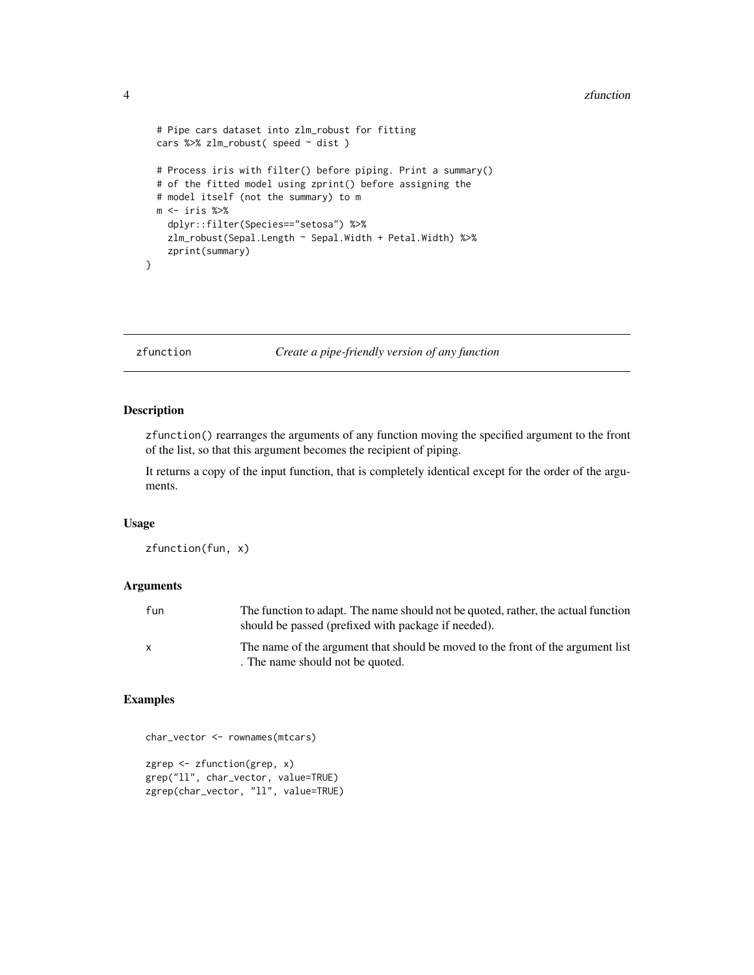```
# Pipe cars dataset into zlm_robust for fitting
cars %>% zlm_robust( speed ~ dist )
# Process iris with filter() before piping. Print a summary()
# of the fitted model using zprint() before assigning the
# model itself (not the summary) to m
m \leftarrow \text{iris } %dplyr::filter(Species=="setosa") %>%
  zlm_robust(Sepal.Length ~ Sepal.Width + Petal.Width) %>%
 zprint(summary)
```
}

<span id="page-3-1"></span>zfunction *Create a pipe-friendly version of any function*

#### Description

zfunction() rearranges the arguments of any function moving the specified argument to the front of the list, so that this argument becomes the recipient of piping.

It returns a copy of the input function, that is completely identical except for the order of the arguments.

#### Usage

zfunction(fun, x)

#### Arguments

| fun | The function to adapt. The name should not be quoted, rather, the actual function<br>should be passed (prefixed with package if needed). |
|-----|------------------------------------------------------------------------------------------------------------------------------------------|
|     | The name of the argument that should be moved to the front of the argument list<br>. The name should not be quoted.                      |

#### Examples

```
char_vector <- rownames(mtcars)
zgrep <- zfunction(grep, x)
grep("ll", char_vector, value=TRUE)
zgrep(char_vector, "ll", value=TRUE)
```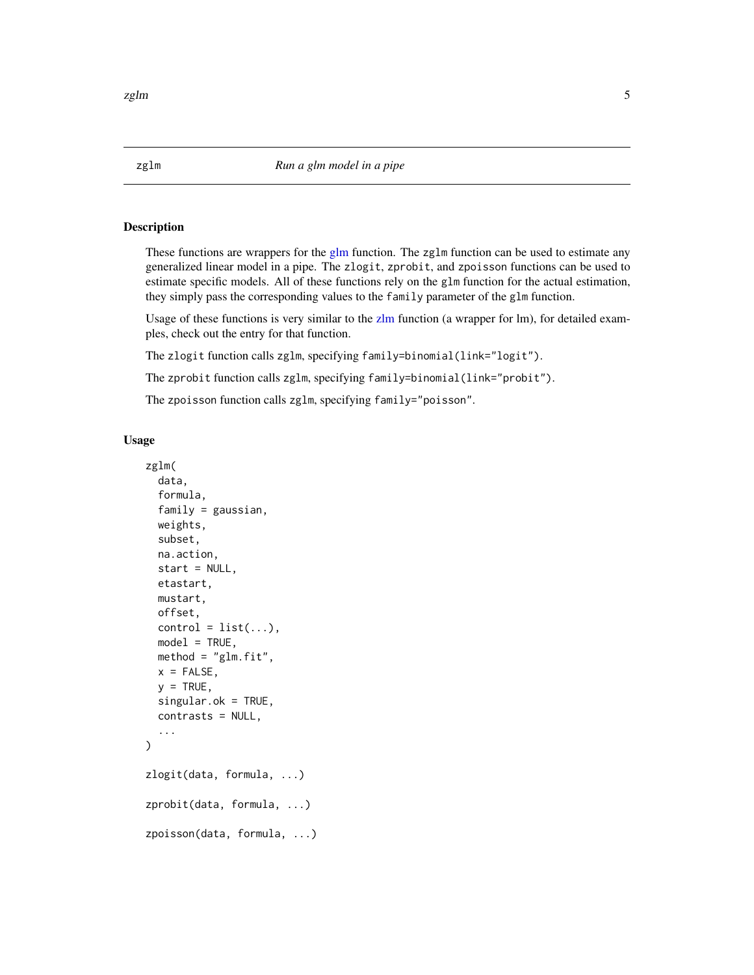#### <span id="page-4-2"></span>Description

These functions are wrappers for the [glm](#page-0-0) function. The zglm function can be used to estimate any generalized linear model in a pipe. The zlogit, zprobit, and zpoisson functions can be used to estimate specific models. All of these functions rely on the glm function for the actual estimation, they simply pass the corresponding values to the family parameter of the glm function.

Usage of these functions is very similar to the [zlm](#page-5-1) function (a wrapper for lm), for detailed examples, check out the entry for that function.

The zlogit function calls zglm, specifying family=binomial(link="logit").

The zprobit function calls zglm, specifying family=binomial(link="probit").

The zpoisson function calls zglm, specifying family="poisson".

#### Usage

```
zglm(
  data,
  formula,
  family = gaussian,
 weights,
  subset,
  na.action,
  start = NULL,
  etastart,
 mustart,
 offset,
  control = list(...),model = TRUE,method = "glm.fit",x =FALSE,
  y = TRUE,singular.ok = TRUE,
  contrasts = NULL,
  ...
\mathcal{L}zlogit(data, formula, ...)
zprobit(data, formula, ...)
zpoisson(data, formula, ...)
```
<span id="page-4-1"></span><span id="page-4-0"></span>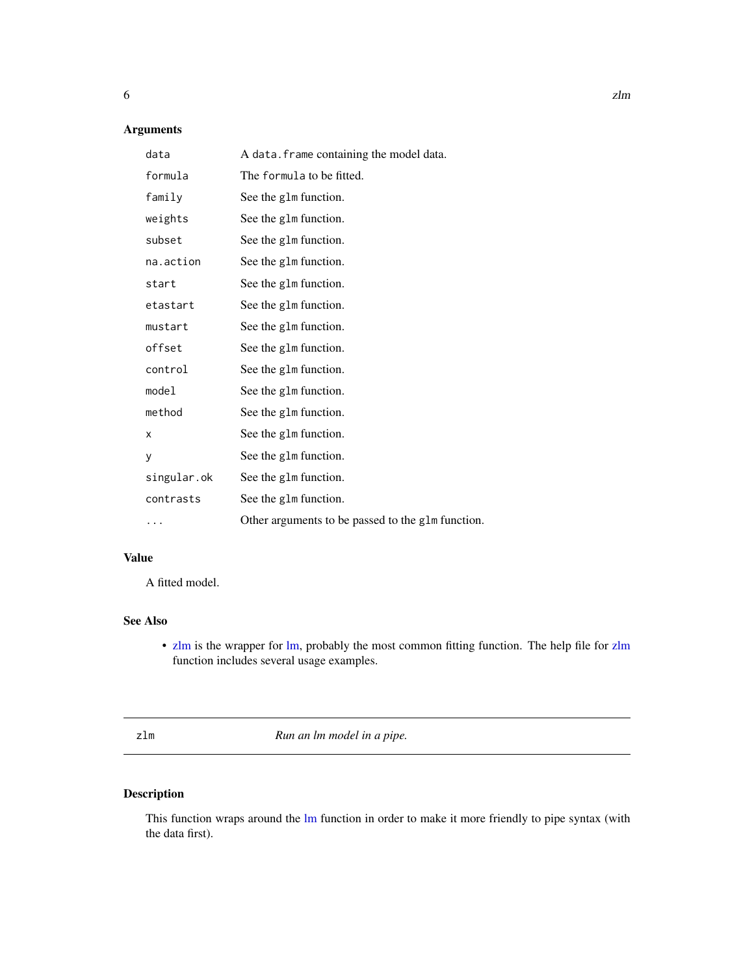#### <span id="page-5-0"></span>Arguments

| data        | A data. frame containing the model data.          |
|-------------|---------------------------------------------------|
| formula     | The formula to be fitted.                         |
| family      | See the g1m function.                             |
| weights     | See the g1m function.                             |
| subset      | See the g1m function.                             |
| na.action   | See the g1m function.                             |
| start       | See the g1m function.                             |
| etastart    | See the g1m function.                             |
| mustart     | See the g1m function.                             |
| offset      | See the g1m function.                             |
| control     | See the g1m function.                             |
| model       | See the g1m function.                             |
| method      | See the g1m function.                             |
| x           | See the g1m function.                             |
| y           | See the g1m function.                             |
| singular.ok | See the g1m function.                             |
| contrasts   | See the g1m function.                             |
| $\cdots$    | Other arguments to be passed to the glm function. |

#### Value

A fitted model.

#### See Also

• [zlm](#page-5-1) is the wrapper for [lm,](#page-0-0) probably the most common fitting function. The help file for [zlm](#page-5-1) function includes several usage examples.

<span id="page-5-1"></span>zlm *Run an lm model in a pipe.*

#### Description

This function wraps around the [lm](#page-0-0) function in order to make it more friendly to pipe syntax (with the data first).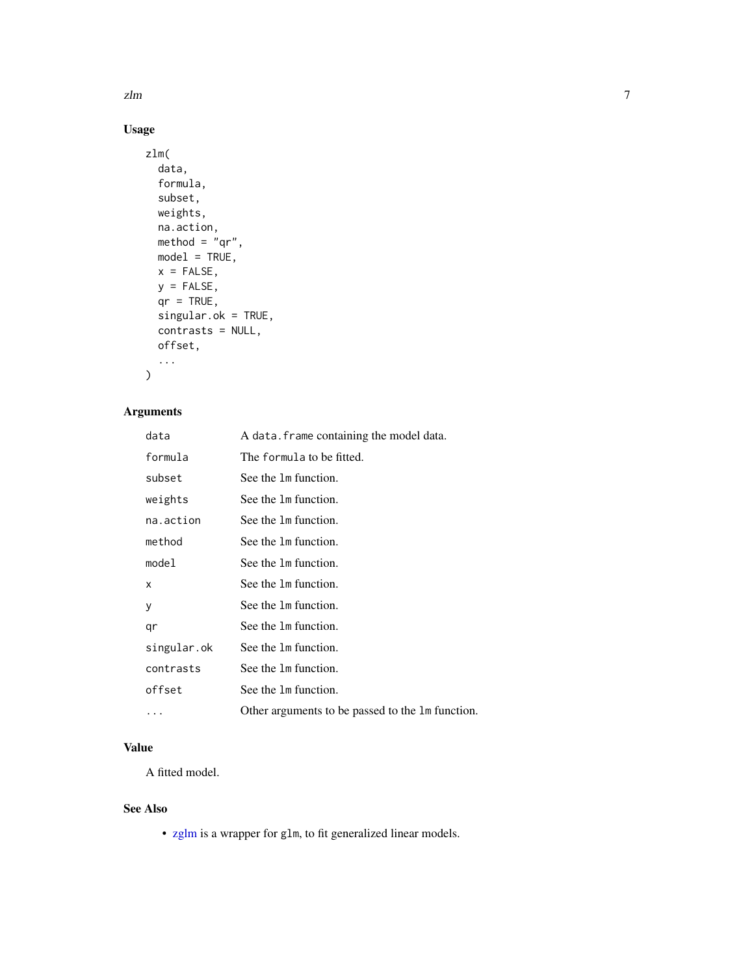<span id="page-6-0"></span>zlm znači i začeljenom kontrologija i začeljenom kontrologija i začeljenom kontrologija i začeljenom za vrho z

#### Usage

```
zlm(
  data,
  formula,
  subset,
  weights,
  na.action,
  method = "qr",model = TRUE,x = FALSE,
  y =FALSE,
  qr = TRUE,singular.ok = TRUE,
  contrasts = NULL,
  offset,
  ...
\mathcal{L}
```
#### Arguments

| data        | A data. frame containing the model data.         |
|-------------|--------------------------------------------------|
| formula     | The formula to be fitted.                        |
| subset      | See the 1m function.                             |
| weights     | See the 1m function.                             |
| na.action   | See the 1m function.                             |
| method      | See the 1m function.                             |
| model       | See the 1m function.                             |
| X           | See the 1m function.                             |
| у           | See the 1m function.                             |
| qr          | See the 1m function.                             |
| singular.ok | See the 1m function.                             |
| contrasts   | See the 1m function.                             |
| offset      | See the 1m function.                             |
| $\cdots$    | Other arguments to be passed to the 1m function. |

#### Value

A fitted model.

#### See Also

• [zglm](#page-4-1) is a wrapper for glm, to fit generalized linear models.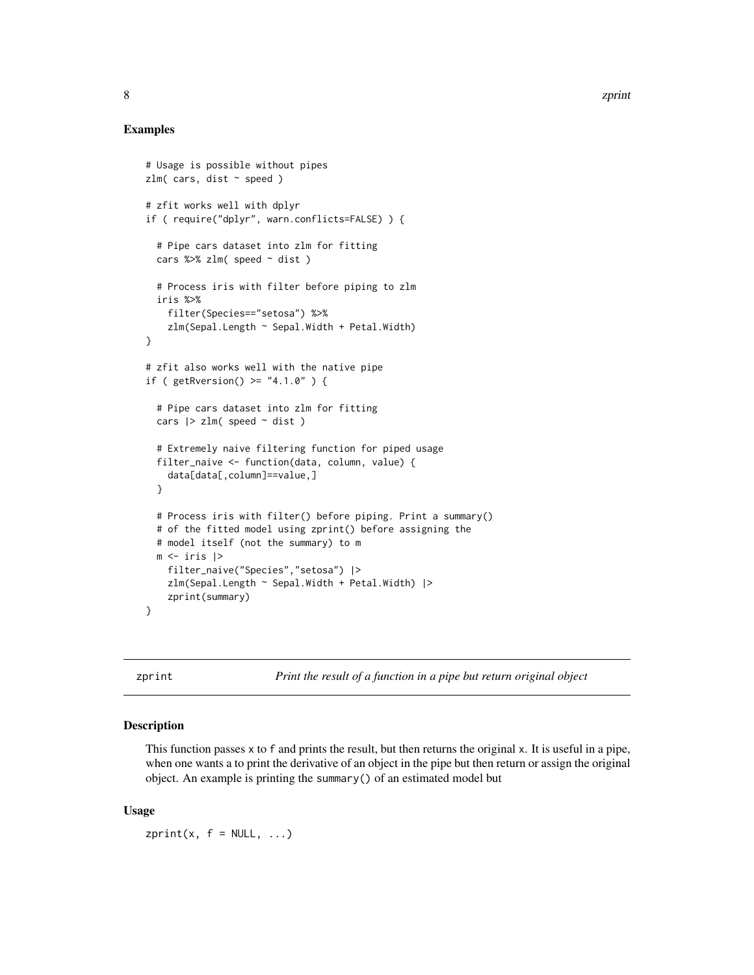#### <span id="page-7-0"></span>Examples

```
# Usage is possible without pipes
zlm( cars, dist ~ ~ speed )# zfit works well with dplyr
if ( require("dplyr", warn.conflicts=FALSE) ) {
 # Pipe cars dataset into zlm for fitting
 cars %>% zlm( speed \sim dist)
 # Process iris with filter before piping to zlm
 iris %>%
    filter(Species=="setosa") %>%
    zlm(Sepal.Length ~ Sepal.Width + Petal.Width)
}
# zfit also works well with the native pipe
if ( getRversion() \geq "4.1.0" ) {
 # Pipe cars dataset into zlm for fitting
 cars |>\nzIm( speed \sim dist )# Extremely naive filtering function for piped usage
 filter_naive <- function(data, column, value) {
    data[data[,column]==value,]
 }
 # Process iris with filter() before piping. Print a summary()
 # of the fitted model using zprint() before assigning the
 # model itself (not the summary) to m
 m \leftarrow \text{iris} |>
    filter_naive("Species","setosa") |>
    zlm(Sepal.Length ~ Sepal.Width + Petal.Width) |>
    zprint(summary)
}
```
<span id="page-7-1"></span>zprint *Print the result of a function in a pipe but return original object*

#### Description

This function passes x to f and prints the result, but then returns the original x. It is useful in a pipe, when one wants a to print the derivative of an object in the pipe but then return or assign the original object. An example is printing the summary() of an estimated model but

#### Usage

 $zprint(x, f = NULL, ...)$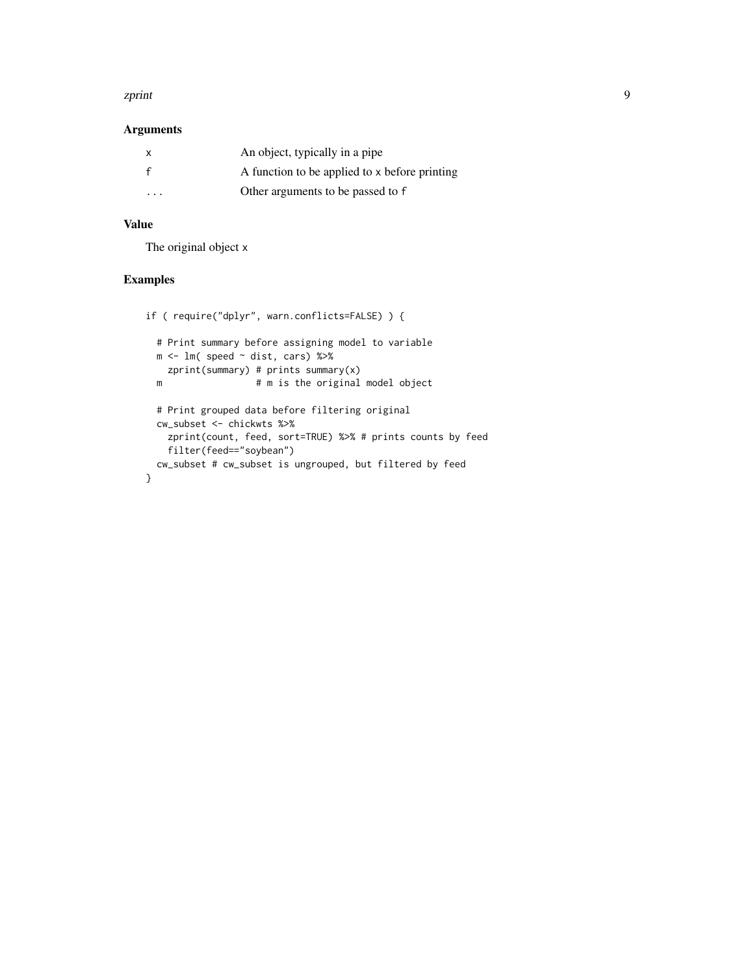#### zprint 9

#### Arguments

|   | An object, typically in a pipe                |
|---|-----------------------------------------------|
|   | A function to be applied to x before printing |
| . | Other arguments to be passed to f             |

#### Value

The original object x

#### Examples

```
if ( require("dplyr", warn.conflicts=FALSE) ) {
  # Print summary before assigning model to variable
  m \leftarrow \text{lm}(\text{speed} \sim \text{dist}, \text{ cars}) %>%
    zprint(summary) # prints summary(x)
  m # m is the original model object
  # Print grouped data before filtering original
  cw_subset <- chickwts %>%
    zprint(count, feed, sort=TRUE) %>% # prints counts by feed
    filter(feed=="soybean")
  cw_subset # cw_subset is ungrouped, but filtered by feed
}
```